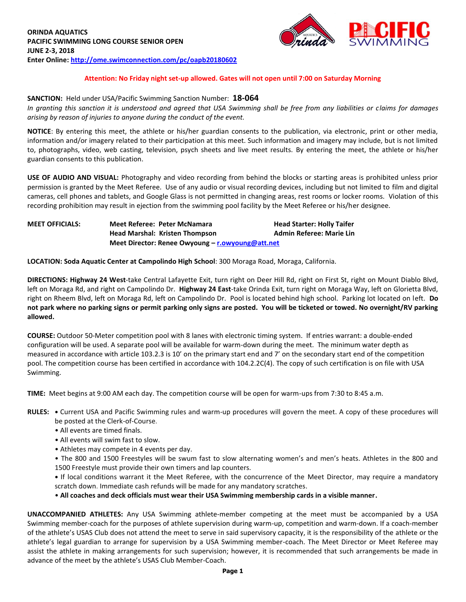

### **Attention: No Friday night set-up allowed. Gates will not open until 7:00 on Saturday Morning**

#### **SANCTION:** Held under USA/Pacific Swimming Sanction Number: **18-064**

*In granting this sanction it is understood and agreed that USA Swimming shall be free from any liabilities or claims for damages arising by reason of injuries to anyone during the conduct of the event.*

**NOTICE**: By entering this meet, the athlete or his/her guardian consents to the publication, via electronic, print or other media, information and/or imagery related to their participation at this meet. Such information and imagery may include, but is not limited to, photographs, video, web casting, television, psych sheets and live meet results. By entering the meet, the athlete or his/her guardian consents to this publication.

**USE OF AUDIO AND VISUAL:** Photography and video recording from behind the blocks or starting areas is prohibited unless prior permission is granted by the Meet Referee. Use of any audio or visual recording devices, including but not limited to film and digital cameras, cell phones and tablets, and Google Glass is not permitted in changing areas, rest rooms or locker rooms. Violation of this recording prohibition may result in ejection from the swimming pool facility by the Meet Referee or his/her designee.

# **MEET OFFICIALS: Meet Referee: Peter McNamara Head Starter: Holly Taifer Head Marshal: Kristen Thompson Admin Referee: Marie Lin Meet Director: Renee Owyoung – [r.owyoung@att.net](mailto:r.owyoung@att.net)**

**LOCATION: Soda Aquatic Center at Campolindo High School**: 300 Moraga Road, Moraga, California.

**DIRECTIONS: Highway 24 West**-take Central Lafayette Exit, turn right on Deer Hill Rd, right on First St, right on Mount Diablo Blvd, left on Moraga Rd, and right on Campolindo Dr. **Highway 24 East**-take Orinda Exit, turn right on Moraga Way, left on Glorietta Blvd, right on Rheem Blvd, left on Moraga Rd, left on Campolindo Dr. Pool is located behind high school. Parking lot located on left. **Do not park where no parking signs or permit parking only signs are posted. You will be ticketed or towed. No overnight/RV parking allowed.**

**COURSE:** Outdoor 50-Meter competition pool with 8 lanes with electronic timing system. If entries warrant: a double-ended configuration will be used. A separate pool will be available for warm-down during the meet. The minimum water depth as measured in accordance with article 103.2.3 is 10' on the primary start end and 7' on the secondary start end of the competition pool. The competition course has been certified in accordance with 104.2.2C(4). The copy of such certification is on file with USA Swimming.

**TIME:** Meet begins at 9:00 AM each day. The competition course will be open for warm-ups from 7:30 to 8:45 a.m.

- **RULES:** Current USA and Pacific Swimming rules and warm-up procedures will govern the meet. A copy of these procedures will be posted at the Clerk-of-Course.
	- All events are timed finals.
	- All events will swim fast to slow.
	- Athletes may compete in 4 events per day.
	- The 800 and 1500 Freestyles will be swum fast to slow alternating women's and men's heats. Athletes in the 800 and 1500 Freestyle must provide their own timers and lap counters.

**•** If local conditions warrant it the Meet Referee, with the concurrence of the Meet Director, may require a mandatory scratch down. Immediate cash refunds will be made for any mandatory scratches.

• **All coaches and deck officials must wear their USA Swimming membership cards in a visible manner.**

**UNACCOMPANIED ATHLETES:** Any USA Swimming athlete-member competing at the meet must be accompanied by a USA Swimming member-coach for the purposes of athlete supervision during warm-up, competition and warm-down. If a coach-member of the athlete's USAS Club does not attend the meet to serve in said supervisory capacity, it is the responsibility of the athlete or the athlete's legal guardian to arrange for supervision by a USA Swimming member-coach. The Meet Director or Meet Referee may assist the athlete in making arrangements for such supervision; however, it is recommended that such arrangements be made in advance of the meet by the athlete's USAS Club Member-Coach.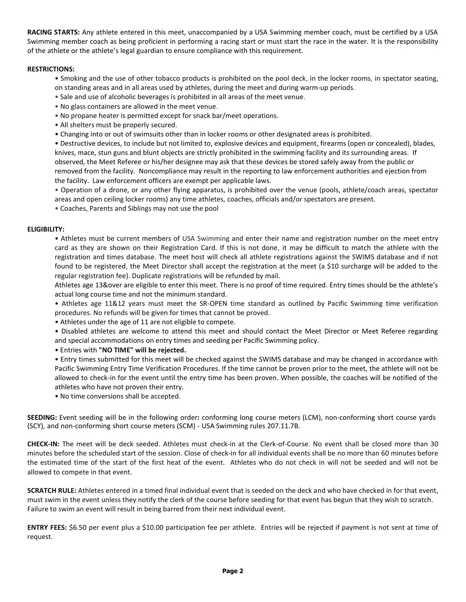**RACING STARTS:** Any athlete entered in this meet, unaccompanied by a USA Swimming member coach, must be certified by a USA Swimming member coach as being proficient in performing a racing start or must start the race in the water. It is the responsibility of the athlete or the athlete's legal guardian to ensure compliance with this requirement.

## **RESTRICTIONS:**

- Smoking and the use of other tobacco products is prohibited on the pool deck, in the locker rooms, in spectator seating, on standing areas and in all areas used by athletes, during the meet and during warm-up periods.
- Sale and use of alcoholic beverages is prohibited in all areas of the meet venue.
- No glass containers are allowed in the meet venue.
- No propane heater is permitted except for snack bar/meet operations.
- All shelters must be properly secured.
- Changing into or out of swimsuits other than in locker rooms or other designated areas is prohibited.

• Destructive devices, to include but not limited to, explosive devices and equipment, firearms (open or concealed), blades, knives, mace, stun guns and blunt objects are strictly prohibited in the swimming facility and its surrounding areas. If observed, the Meet Referee or his/her designee may ask that these devices be stored safely away from the public or removed from the facility. Noncompliance may result in the reporting to law enforcement authorities and ejection from the facility. Law enforcement officers are exempt per applicable laws.

• Operation of a drone, or any other flying apparatus, is prohibited over the venue (pools, athlete/coach areas, spectator areas and open ceiling locker rooms) any time athletes, coaches, officials and/or spectators are present.

• Coaches, Parents and Siblings may not use the pool

### **ELIGIBILITY:**

• Athletes must be current members of USA Swimming and enter their name and registration number on the meet entry card as they are shown on their Registration Card. If this is not done, it may be difficult to match the athlete with the registration and times database. The meet host will check all athlete registrations against the SWIMS database and if not found to be registered, the Meet Director shall accept the registration at the meet (a \$10 surcharge will be added to the regular registration fee). Duplicate registrations will be refunded by mail.

Athletes age 13&over are eligible to enter this meet. There is no proof of time required. Entry times should be the athlete's actual long course time and not the minimum standard.

• Athletes age 11&12 years must meet the SR-OPEN time standard as outlined by Pacific Swimming time verification procedures. No refunds will be given for times that cannot be proved.

• Athletes under the age of 11 are not eligible to compete.

• Disabled athletes are welcome to attend this meet and should contact the Meet Director or Meet Referee regarding and special accommodations on entry times and seeding per Pacific Swimming policy.

• Entries with **"NO TIME" will be rejected.**

• Entry times submitted for this meet will be checked against the SWIMS database and may be changed in accordance with Pacific Swimming Entry Time Verification Procedures. If the time cannot be proven prior to the meet, the athlete will not be allowed to check-in for the event until the entry time has been proven. When possible, the coaches will be notified of the athletes who have not proven their entry.

• No time conversions shall be accepted.

**SEEDING:** Event seeding will be in the following order**:** conforming long course meters (LCM), non-conforming short course yards (SCY), and non-conforming short course meters (SCM) - USA Swimming rules 207.11.7B.

**CHECK-IN:** The meet will be deck seeded. Athletes must check-in at the Clerk-of-Course. No event shall be closed more than 30 minutes before the scheduled start of the session. Close of check-in for all individual events shall be no more than 60 minutes before the estimated time of the start of the first heat of the event. Athletes who do not check in will not be seeded and will not be allowed to compete in that event.

**SCRATCH RULE:** Athletes entered in a timed final individual event that is seeded on the deck and who have checked in for that event, must swim in the event unless they notify the clerk of the course before seeding for that event has begun that they wish to scratch. Failure to swim an event will result in being barred from their next individual event.

**ENTRY FEES:** \$6.50 per event plus a \$10.00 participation fee per athlete. Entries will be rejected if payment is not sent at time of request.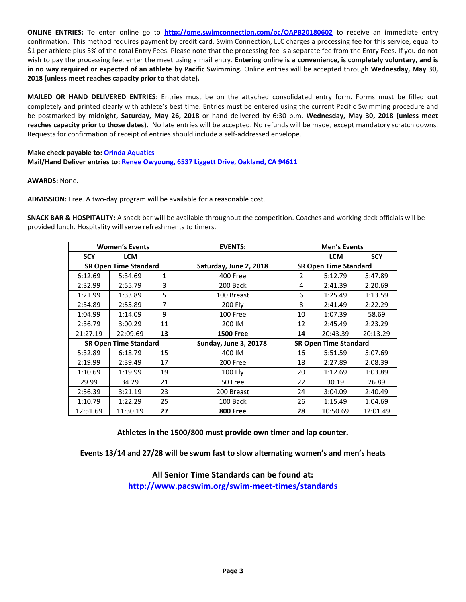**ONLINE ENTRIES:** To enter online go to **<http://ome.swimconnection.com/pc/OAPB20180602>** to receive an immediate entry confirmation. This method requires payment by credit card. Swim Connection, LLC charges a processing fee for this service, equal to \$1 per athlete plus 5% of the total Entry Fees. Please note that the processing fee is a separate fee from the Entry Fees. If you do not wish to pay the processing fee, enter the meet using a mail entry. **Entering online is a convenience, is completely voluntary, and is in no way required or expected of an athlete by Pacific Swimming.** Online entries will be accepted through **Wednesday, May 30, 2018 (unless meet reaches capacity prior to that date).**

**MAILED OR HAND DELIVERED ENTRIES**: Entries must be on the attached consolidated entry form. Forms must be filled out completely and printed clearly with athlete's best time. Entries must be entered using the current Pacific Swimming procedure and be postmarked by midnight, **Saturday, May 26, 2018** or hand delivered by 6:30 p.m. **Wednesday, May 30, 2018 (unless meet reaches capacity prior to those dates).** No late entries will be accepted. No refunds will be made, except mandatory scratch downs. Requests for confirmation of receipt of entries should include a self-addressed envelope.

# **Make check payable to: Orinda Aquatics Mail/Hand Deliver entries to: Renee Owyoung, 6537 Liggett Drive, Oakland, CA 94611**

### **AWARDS:** None.

**ADMISSION:** Free. A two-day program will be available for a reasonable cost.

**SNACK BAR & HOSPITALITY:** A snack bar will be available throughout the competition. Coaches and working deck officials will be provided lunch. Hospitality will serve refreshments to timers.

|                              | <b>Women's Events</b> |                | <b>EVENTS:</b>               |                              | <b>Men's Events</b>          |            |  |  |  |
|------------------------------|-----------------------|----------------|------------------------------|------------------------------|------------------------------|------------|--|--|--|
| <b>SCY</b>                   | <b>LCM</b>            |                |                              |                              | <b>LCM</b>                   | <b>SCY</b> |  |  |  |
| <b>SR Open Time Standard</b> |                       |                | Saturday, June 2, 2018       |                              | <b>SR Open Time Standard</b> |            |  |  |  |
| 6:12.69                      | 5:34.69               | 1              | <b>400 Free</b>              | 2                            | 5:12.79                      | 5:47.89    |  |  |  |
| 2:32.99                      | 2:55.79               | 3              | 200 Back                     | 4                            | 2:41.39                      | 2:20.69    |  |  |  |
| 1:21.99                      | 1:33.89               | 5              | 100 Breast                   | 6                            | 1:25.49                      | 1:13.59    |  |  |  |
| 2:34.89                      | 2:55.89               | $\overline{7}$ | 200 Fly                      | 8                            | 2:41.49                      | 2:22.29    |  |  |  |
| 1:04.99                      | 1:14.09               | 9              | 100 Free                     | 10                           | 1:07.39                      | 58.69      |  |  |  |
| 2:36.79                      | 3:00.29               | 11             | 200 IM                       | 12                           | 2:45.49                      | 2:23.29    |  |  |  |
| 21:27.19                     | 22:09.69              | 13             | <b>1500 Free</b>             | 14                           | 20:43.39                     | 20:13.29   |  |  |  |
| <b>SR Open Time Standard</b> |                       |                | <b>Sunday, June 3, 20178</b> | <b>SR Open Time Standard</b> |                              |            |  |  |  |
| 5:32.89                      | 6:18.79               | 15             | 400 IM                       | 16                           | 5:51.59                      | 5:07.69    |  |  |  |
| 2:19.99                      | 2:39.49               | 17             | 200 Free                     | 18                           | 2:27.89                      | 2:08.39    |  |  |  |
| 1:10.69                      | 1:19.99               | 19             | 100 Fly                      | 20                           | 1:12.69                      | 1:03.89    |  |  |  |
| 29.99                        | 34.29                 | 21             | 50 Free                      | 22                           | 30.19                        | 26.89      |  |  |  |
| 2:56.39                      | 3:21.19               | 23             | 200 Breast                   | 24                           | 3:04.09                      | 2:40.49    |  |  |  |
| 1:10.79                      | 1:22.29               | 25             | 100 Back                     | 26                           | 1:15.49                      | 1:04.69    |  |  |  |
| 12:51.69                     | 11:30.19              | 27             | <b>800 Free</b>              | 28                           | 10:50.69                     | 12:01.49   |  |  |  |

**Athletes in the 1500/800 must provide own timer and lap counter.**

**Events 13/14 and 27/28 will be swum fast to slow alternating women's and men's heats**

**All Senior Time Standards can be found at: <http://www.pacswim.org/swim-meet-times/standards>**